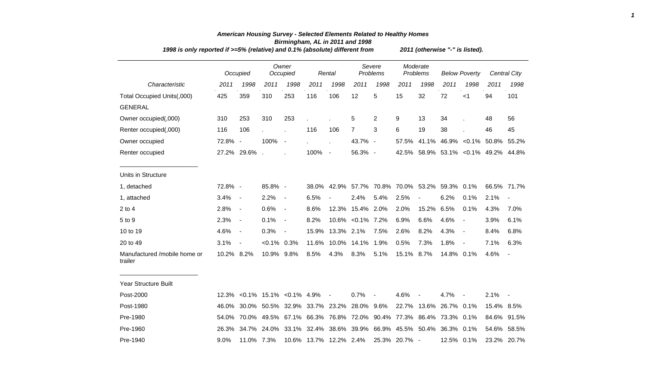| 1998 is only reported if >=5% (relative) and 0.1% (absolute) different from | 2011 (otherwise "-" is listed). |                          |           |                                |                               |                |                   |                                    |               |                        |                      |                |                                      |                          |
|-----------------------------------------------------------------------------|---------------------------------|--------------------------|-----------|--------------------------------|-------------------------------|----------------|-------------------|------------------------------------|---------------|------------------------|----------------------|----------------|--------------------------------------|--------------------------|
|                                                                             |                                 | Occupied                 |           | Owner<br>Occupied              |                               | Rental         |                   | Severe<br>Problems                 |               | Moderate<br>Problems   | <b>Below Poverty</b> |                | <b>Central City</b>                  |                          |
| Characteristic                                                              | 2011                            | 1998                     | 2011      | 1998                           | 2011                          | 1998           | 2011              | 1998                               | 2011          | 1998                   | 2011                 | 1998           | 2011                                 | 1998                     |
| Total Occupied Units(,000)                                                  | 425                             | 359                      | 310       | 253                            | 116                           | 106            | 12                | 5                                  | 15            | 32                     | 72                   | < 1            | 94                                   | 101                      |
| <b>GENERAL</b>                                                              |                                 |                          |           |                                |                               |                |                   |                                    |               |                        |                      |                |                                      |                          |
| Owner occupied(,000)                                                        | 310                             | 253                      | 310       | 253                            |                               |                | 5                 | $\overline{2}$                     | 9             | 13                     | 34                   |                | 48                                   | 56                       |
| Renter occupied(,000)                                                       | 116                             | 106                      |           |                                | 116                           | 106            | $\overline{7}$    | 3                                  | 6             | 19                     | 38                   |                | 46                                   | 45                       |
| Owner occupied                                                              | 72.8% -                         |                          | 100%      | $\blacksquare$                 |                               |                | 43.7% -           |                                    | 57.5%         | 41.1%                  |                      |                | 46.9% < 0.1% 50.8%                   | 55.2%                    |
| Renter occupied                                                             |                                 | 27.2% 29.6%.             |           |                                | 100%                          | $\sim$         | 56.3% -           |                                    |               |                        |                      |                | 42.5% 58.9% 53.1% < 0.1% 49.2% 44.8% |                          |
| Units in Structure                                                          |                                 |                          |           |                                |                               |                |                   |                                    |               |                        |                      |                |                                      |                          |
| 1, detached                                                                 | 72.8% -                         |                          | 85.8% -   |                                | 38.0%                         | 42.9%          |                   | 57.7% 70.8% 70.0% 53.2% 59.3%      |               |                        |                      | 0.1%           | 66.5%                                | 71.7%                    |
| 1, attached                                                                 | 3.4%                            | $\blacksquare$           | 2.2%      | $\blacksquare$                 | 6.5%                          |                | 2.4%              | 5.4%                               | 2.5%          | $\blacksquare$         | 6.2%                 | 0.1%           | 2.1%                                 | $\overline{\phantom{a}}$ |
| $2$ to $4$                                                                  | 2.8%                            | $\blacksquare$           | 0.6%      | $\blacksquare$                 | 8.6%                          | 12.3%          | 15.4% 2.0%        |                                    | 2.0%          | 15.2%                  | 6.5%                 | 0.1%           | 4.3%                                 | 7.0%                     |
| 5 to 9                                                                      | 2.3%                            | $\blacksquare$           | 0.1%      | $\overline{\phantom{a}}$       | 8.2%                          |                | 10.6% < 0.1% 7.2% |                                    | 6.9%          | 6.6%                   | 4.6%                 | $\blacksquare$ | 3.9%                                 | 6.1%                     |
| 10 to 19                                                                    | 4.6%                            | $\blacksquare$           | 0.3%      | $\overline{\phantom{a}}$       | 15.9%                         | 13.3% 2.1%     |                   | 7.5%                               | 2.6%          | 8.2%                   | 4.3%                 | $\blacksquare$ | 8.4%                                 | 6.8%                     |
| 20 to 49                                                                    | 3.1%                            | $\overline{\phantom{a}}$ | $< 0.1\%$ | 0.3%                           | 11.6%                         | 10.0%          | 14.1%             | 1.9%                               | 0.5%          | 7.3%                   | 1.8%                 | $\overline{a}$ | 7.1%                                 | 6.3%                     |
| Manufactured /mobile home or<br>trailer                                     | 10.2% 8.2%                      |                          | 10.9%     | 9.8%                           | 8.5%                          | 4.3%           | 8.3%              | 5.1%                               | 15.1% 8.7%    |                        | 14.8%                | 0.1%           | 4.6%                                 | $\blacksquare$           |
| Year Structure Built                                                        |                                 |                          |           |                                |                               |                |                   |                                    |               |                        |                      |                |                                      |                          |
| Post-2000                                                                   |                                 |                          |           | 12.3% < 0.1% 15.1% < 0.1% 4.9% |                               | $\blacksquare$ | 0.7%              | $\blacksquare$                     | 4.6%          | $\sim$                 | 4.7%                 | $\blacksquare$ | 2.1%                                 | $\overline{\phantom{a}}$ |
| Post-1980                                                                   | 46.0%                           |                          |           |                                | 30.0% 50.5% 32.9% 33.7% 23.2% |                | 28.0% 9.6%        |                                    | 22.7%         | 13.6%                  | 26.7% 0.1%           |                | 15.4% 8.5%                           |                          |
| Pre-1980                                                                    | 54.0%                           |                          |           |                                | 70.0% 49.5% 67.1% 66.3% 76.8% |                | 72.0%             | 90.4%                              |               | 77.3% 86.4% 73.3% 0.1% |                      |                | 84.6%                                | 91.5%                    |
| Pre-1960                                                                    | 26.3%                           |                          |           |                                | 34.7% 24.0% 33.1% 32.4% 38.6% |                |                   | 39.9% 66.9% 45.5% 50.4% 36.3% 0.1% |               |                        |                      |                | 54.6%                                | 58.5%                    |
| Pre-1940                                                                    | 9.0%                            | 11.0% 7.3%               |           |                                | 10.6% 13.7% 12.2% 2.4%        |                |                   |                                    | 25.3% 20.7% - |                        | 12.5% 0.1%           |                |                                      | 23.2% 20.7%              |

## *American Housing Survey - Selected Elements Related to Healthy Homes Birmingham, AL in 2011 and 1998*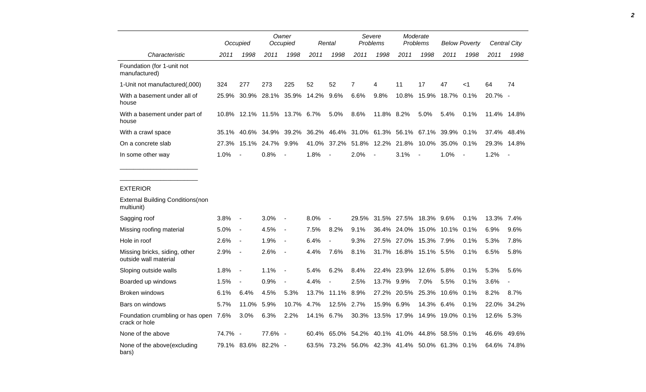|                                                             | Occupied |                              |                         | Owner<br>Occupied        |            | Rental         | Severe<br>Problems                             |                | Moderate<br>Problems               |             | <b>Below Poverty</b> |                          | Central City |                |
|-------------------------------------------------------------|----------|------------------------------|-------------------------|--------------------------|------------|----------------|------------------------------------------------|----------------|------------------------------------|-------------|----------------------|--------------------------|--------------|----------------|
| Characteristic                                              | 2011     | 1998                         | 2011                    | 1998                     | 2011       | 1998           | 2011                                           | 1998           | 2011                               | 1998        | 2011                 | 1998                     | 2011         | 1998           |
| Foundation (for 1-unit not<br>manufactured)                 |          |                              |                         |                          |            |                |                                                |                |                                    |             |                      |                          |              |                |
| 1-Unit not manufactured(,000)                               | 324      | 277                          | 273                     | 225                      | 52         | 52             | $\overline{7}$                                 | 4              | 11                                 | 17          | 47                   | $<$ 1                    | 64           | 74             |
| With a basement under all of<br>house                       | 25.9%    |                              | 30.9% 28.1% 35.9% 14.2% |                          |            | 9.6%           | 6.6%                                           | 9.8%           |                                    | 10.8% 15.9% | 18.7% 0.1%           |                          | 20.7% -      |                |
| With a basement under part of<br>house                      |          | 10.8% 12.1% 11.5% 13.7% 6.7% |                         |                          |            | 5.0%           | 8.6%                                           | 11.8% 8.2%     |                                    | 5.0%        | 5.4%                 | 0.1%                     | 11.4% 14.8%  |                |
| With a crawl space                                          | 35.1%    |                              | 40.6% 34.9%             | 39.2%                    |            |                | 36.2% 46.4% 31.0% 61.3% 56.1% 67.1% 39.9% 0.1% |                |                                    |             |                      |                          | 37.4%        | 48.4%          |
| On a concrete slab                                          |          | 27.3% 15.1% 24.7%            |                         | 9.9%                     | 41.0%      | 37.2%          |                                                |                | 51.8% 12.2% 21.8%                  | 10.0%       | 35.0% 0.1%           |                          | 29.3%        | 14.8%          |
| In some other way                                           | 1.0%     | $\blacksquare$               | 0.8%                    |                          | 1.8%       | $\blacksquare$ | 2.0%                                           | $\overline{a}$ | 3.1%                               |             | 1.0%                 | $\overline{\phantom{a}}$ | 1.2%         | $\blacksquare$ |
| <b>EXTERIOR</b><br><b>External Building Conditions (non</b> |          |                              |                         |                          |            |                |                                                |                |                                    |             |                      |                          |              |                |
| multiunit)                                                  |          |                              |                         |                          |            |                |                                                |                |                                    |             |                      |                          |              |                |
| Sagging roof                                                | 3.8%     | $\overline{\phantom{a}}$     | 3.0%                    | $\overline{\phantom{a}}$ | 8.0%       |                | 29.5%                                          |                | 31.5% 27.5% 18.3% 9.6%             |             |                      | 0.1%                     | 13.3% 7.4%   |                |
| Missing roofing material                                    | 5.0%     | $\overline{\phantom{a}}$     | 4.5%                    | $\overline{a}$           | 7.5%       | 8.2%           | 9.1%                                           |                | 36.4% 24.0% 15.0% 10.1%            |             |                      | 0.1%                     | 6.9%         | 9.6%           |
| Hole in roof                                                | 2.6%     | $\blacksquare$               | 1.9%                    | $\blacksquare$           | 6.4%       |                | 9.3%                                           |                | 27.5% 27.0% 15.3% 7.9%             |             |                      | 0.1%                     | 5.3%         | 7.8%           |
| Missing bricks, siding, other<br>outside wall material      | 2.9%     | $\blacksquare$               | 2.6%                    | $\overline{\phantom{a}}$ | 4.4%       | 7.6%           | 8.1%                                           |                | 31.7% 16.8% 15.1% 5.5%             |             |                      | 0.1%                     | 6.5%         | 5.8%           |
| Sloping outside walls                                       | 1.8%     | $\overline{\phantom{a}}$     | 1.1%                    | $\overline{a}$           | 5.4%       | 6.2%           | 8.4%                                           |                | 22.4% 23.9% 12.6% 5.8%             |             |                      | 0.1%                     | 5.3%         | 5.6%           |
| Boarded up windows                                          | 1.5%     | $\overline{a}$               | 0.9%                    | $\overline{a}$           | 4.4%       |                | 2.5%                                           | 13.7% 9.9%     |                                    | 7.0%        | 5.5%                 | 0.1%                     | 3.6%         |                |
| <b>Broken windows</b>                                       | 6.1%     | 6.4%                         | 4.5%                    | 5.3%                     | 13.7%      | 11.1%          | 8.9%                                           |                | 27.2% 20.5%                        | 25.3%       | 10.6%                | 0.1%                     | 8.2%         | 8.7%           |
| Bars on windows                                             | 5.7%     | 11.0%                        | 5.9%                    | 10.7%                    | 4.7%       | 12.5%          | 2.7%                                           | 15.9% 6.9%     |                                    | 14.3% 6.4%  |                      | 0.1%                     | 22.0%        | 34.2%          |
| Foundation crumbling or has open 7.6%<br>crack or hole      |          | 3.0%                         | 6.3%                    | 2.2%                     | 14.1% 6.7% |                |                                                |                | 30.3% 13.5% 17.9% 14.9% 19.0% 0.1% |             |                      |                          | 12.6% 5.3%   |                |
| None of the above                                           | 74.7% -  |                              | 77.6% -                 |                          | 60.4%      |                | 65.0% 54.2% 40.1% 41.0% 44.8% 58.5% 0.1%       |                |                                    |             |                      |                          | 46.6%        | 49.6%          |
| None of the above(excluding<br>bars)                        |          | 79.1% 83.6% 82.2% -          |                         |                          | 63.5%      |                | 73.2% 56.0% 42.3% 41.4% 50.0% 61.3% 0.1%       |                |                                    |             |                      |                          | 64.6%        | 74.8%          |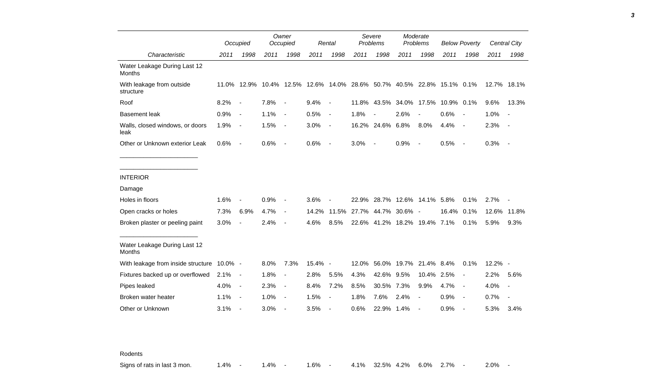|                                               |      | Occupied                 |      | Owner<br>Occupied        |         | Rental                   | Severe<br>Problems                                         |                              | Moderate<br>Problems   |                | <b>Below Poverty</b> |                          |         | <b>Central City</b>      |
|-----------------------------------------------|------|--------------------------|------|--------------------------|---------|--------------------------|------------------------------------------------------------|------------------------------|------------------------|----------------|----------------------|--------------------------|---------|--------------------------|
| Characteristic                                | 2011 | 1998                     | 2011 | 1998                     | 2011    | 1998                     | 2011                                                       | 1998                         | 2011                   | 1998           | 2011                 | 1998                     | 2011    | 1998                     |
| Water Leakage During Last 12<br>Months        |      |                          |      |                          |         |                          |                                                            |                              |                        |                |                      |                          |         |                          |
| With leakage from outside<br>structure        |      | 11.0% 12.9%              |      |                          |         |                          | 10.4% 12.5% 12.6% 14.0% 28.6% 50.7% 40.5% 22.8% 15.1% 0.1% |                              |                        |                |                      |                          |         | 12.7% 18.1%              |
| Roof                                          | 8.2% | $\blacksquare$           | 7.8% | $\overline{\phantom{a}}$ | 9.4%    | $\overline{\phantom{a}}$ |                                                            | 11.8% 43.5%                  | 34.0%                  | 17.5%          | 10.9% 0.1%           |                          | 9.6%    | 13.3%                    |
| <b>Basement leak</b>                          | 0.9% | $\overline{\phantom{a}}$ | 1.1% | $\overline{\phantom{a}}$ | 0.5%    | $\sim$                   | 1.8%                                                       | $\blacksquare$               | 2.6%                   | $\blacksquare$ | 0.6%                 | $\overline{\phantom{a}}$ | 1.0%    | $\overline{\phantom{a}}$ |
| Walls, closed windows, or doors<br>leak       | 1.9% | $\overline{\phantom{a}}$ | 1.5% | $\sim$                   | 3.0%    | $\sim$                   |                                                            | 16.2% 24.6% 6.8%             |                        | 8.0%           | 4.4%                 | $\overline{\phantom{a}}$ | 2.3%    | $\overline{\phantom{a}}$ |
| Other or Unknown exterior Leak                | 0.6% | $\overline{\phantom{a}}$ | 0.6% | $\overline{\phantom{a}}$ | 0.6%    | $\sim$                   | 3.0%                                                       | $\overline{\phantom{a}}$     | 0.9%                   | $\blacksquare$ | 0.5%                 | $\overline{\phantom{a}}$ | 0.3%    | $\overline{\phantom{a}}$ |
|                                               |      |                          |      |                          |         |                          |                                                            |                              |                        |                |                      |                          |         |                          |
| <b>INTERIOR</b>                               |      |                          |      |                          |         |                          |                                                            |                              |                        |                |                      |                          |         |                          |
| Damage                                        |      |                          |      |                          |         |                          |                                                            |                              |                        |                |                      |                          |         |                          |
| Holes in floors                               | 1.6% |                          | 0.9% |                          | 3.6%    |                          |                                                            | 22.9% 28.7% 12.6% 14.1% 5.8% |                        |                |                      | 0.1%                     | 2.7%    |                          |
| Open cracks or holes                          | 7.3% | 6.9%                     | 4.7% | $\overline{\phantom{a}}$ | 14.2%   | 11.5%                    |                                                            | 27.7% 44.7% 30.6% -          |                        |                | 16.4%                | 0.1%                     | 12.6%   | 11.8%                    |
| Broken plaster or peeling paint               | 3.0% |                          | 2.4% | $\overline{\phantom{a}}$ | 4.6%    | 8.5%                     |                                                            | 22.6% 41.2% 18.2% 19.4% 7.1% |                        |                |                      | 0.1%                     | 5.9%    | 9.3%                     |
| Water Leakage During Last 12<br><b>Months</b> |      |                          |      |                          |         |                          |                                                            |                              |                        |                |                      |                          |         |                          |
| With leakage from inside structure 10.0% -    |      |                          | 8.0% | 7.3%                     | 15.4% - |                          | 12.0%                                                      |                              | 56.0% 19.7% 21.4% 8.4% |                |                      | 0.1%                     | 12.2% - |                          |
| Fixtures backed up or overflowed              | 2.1% | $\overline{\phantom{a}}$ | 1.8% | $\overline{\phantom{a}}$ | 2.8%    | 5.5%                     | 4.3%                                                       | 42.6%                        | 9.5%                   | 10.4%          | 2.5%                 | $\blacksquare$           | 2.2%    | 5.6%                     |
| Pipes leaked                                  | 4.0% | $\overline{\phantom{a}}$ | 2.3% | $\overline{\phantom{a}}$ | 8.4%    | 7.2%                     | 8.5%                                                       | 30.5%                        | 7.3%                   | 9.9%           | 4.7%                 | $\blacksquare$           | 4.0%    | $\overline{\phantom{a}}$ |
| Broken water heater                           | 1.1% | $\overline{\phantom{a}}$ | 1.0% | $\overline{\phantom{a}}$ | 1.5%    | $\overline{\phantom{a}}$ | 1.8%                                                       | 7.6%                         | 2.4%                   |                | 0.9%                 | $\blacksquare$           | 0.7%    |                          |
| Other or Unknown                              | 3.1% | $\overline{\phantom{a}}$ | 3.0% | $\overline{\phantom{a}}$ | 3.5%    |                          | 0.6%                                                       | 22.9% 1.4%                   |                        |                | 0.9%                 |                          | 5.3%    | 3.4%                     |

Rodents

Signs of rats in last 3 mon. 4.4% - 1.4% - 1.6% - 4.1% 32.5% 4.2% 6.0% 2.7% - 2.0% -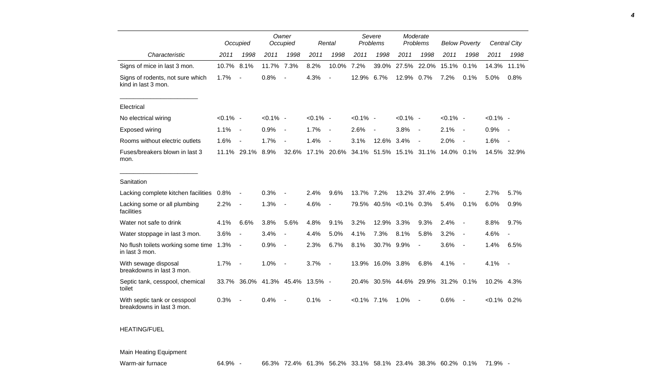|                                                           |             | Occupied                 |             | Owner<br>Occupied            |             | Rental                   | Severe<br>Problems |                | Moderate<br>Problems |                | <b>Below Poverty</b> |                          |                | <b>Central City</b>      |
|-----------------------------------------------------------|-------------|--------------------------|-------------|------------------------------|-------------|--------------------------|--------------------|----------------|----------------------|----------------|----------------------|--------------------------|----------------|--------------------------|
| Characteristic                                            | 2011        | 1998                     | 2011        | 1998                         | 2011        | 1998                     | 2011               | 1998           | 2011                 | 1998           | 2011                 | 1998                     | 2011           | 1998                     |
| Signs of mice in last 3 mon.                              | 10.7%       | 8.1%                     | 11.7%       | 7.3%                         | 8.2%        | 10.0%                    | 7.2%               | 39.0%          | 27.5%                | 22.0%          | 15.1%                | 0.1%                     | 14.3%          | 11.1%                    |
| Signs of rodents, not sure which<br>kind in last 3 mon.   | 1.7%        |                          | 0.8%        |                              | 4.3%        |                          | 12.9%              | 6.7%           | 12.9%                | 0.7%           | 7.2%                 | 0.1%                     | 5.0%           | 0.8%                     |
| Electrical                                                |             |                          |             |                              |             |                          |                    |                |                      |                |                      |                          |                |                          |
| No electrical wiring                                      | $< 0.1\%$ - |                          | $< 0.1\%$ - |                              | $< 0.1\%$ - |                          | $< 0.1\%$ -        |                | $< 0.1\%$ -          |                | $< 0.1\%$ -          |                          | $< 0.1\%$ -    |                          |
| Exposed wiring                                            | 1.1%        | $\overline{\phantom{a}}$ | 0.9%        | $\overline{\phantom{a}}$     | 1.7%        | $\overline{\phantom{a}}$ | 2.6%               | $\blacksquare$ | 3.8%                 | $\blacksquare$ | 2.1%                 | $\sim$                   | 0.9%           |                          |
| Rooms without electric outlets                            | 1.6%        | $\overline{\phantom{a}}$ | 1.7%        | $\qquad \qquad \blacksquare$ | 1.4%        |                          | 3.1%               | 12.6%          | 3.4%                 | $\blacksquare$ | 2.0%                 | $\overline{\phantom{a}}$ | 1.6%           |                          |
| Fuses/breakers blown in last 3<br>mon.                    | 11.1%       | 29.1%                    | 8.9%        | 32.6%                        |             | 17.1% 20.6%              | 34.1%              | 51.5% 15.1%    |                      | 31.1%          | 14.0% 0.1%           |                          | 14.5% 32.9%    |                          |
| Sanitation                                                |             |                          |             |                              |             |                          |                    |                |                      |                |                      |                          |                |                          |
| Lacking complete kitchen facilities                       | 0.8%        |                          | 0.3%        |                              | 2.4%        | 9.6%                     | 13.7%              | 7.2%           | 13.2%                | 37.4%          | 2.9%                 |                          | 2.7%           | 5.7%                     |
| Lacking some or all plumbing<br>facilities                | 2.2%        | $\overline{\phantom{a}}$ | 1.3%        | $\overline{a}$               | 4.6%        | $\blacksquare$           | 79.5%              | 40.5%          | $< 0.1\%$            | 0.3%           | 5.4%                 | 0.1%                     | 6.0%           | 0.9%                     |
| Water not safe to drink                                   | 4.1%        | 6.6%                     | 3.8%        | 5.6%                         | 4.8%        | 9.1%                     | 3.2%               | 12.9%          | 3.3%                 | 9.3%           | 2.4%                 | $\overline{\phantom{a}}$ | 8.8%           | 9.7%                     |
| Water stoppage in last 3 mon.                             | 3.6%        | $\overline{a}$           | 3.4%        | $\blacksquare$               | 4.4%        | 5.0%                     | 4.1%               | 7.3%           | 8.1%                 | 5.8%           | 3.2%                 | $\blacksquare$           | 4.6%           | $\sim$                   |
| No flush toilets working some time<br>in last 3 mon.      | 1.3%        | $\blacksquare$           | 0.9%        | $\overline{\phantom{a}}$     | 2.3%        | 6.7%                     | 8.1%               | 30.7% 9.9%     |                      | $\sim$         | 3.6%                 | $\blacksquare$           | 1.4%           | 6.5%                     |
| With sewage disposal<br>breakdowns in last 3 mon.         | 1.7%        |                          | 1.0%        |                              | 3.7%        | $\overline{\phantom{a}}$ | 13.9%              | 16.0% 3.8%     |                      | 6.8%           | 4.1%                 | $\sim$                   | 4.1%           | $\overline{\phantom{a}}$ |
| Septic tank, cesspool, chemical<br>toilet                 | 33.7%       | 36.0%                    |             | 41.3% 45.4%                  | $13.5\%$ -  |                          | 20.4%              | 30.5%          | 44.6%                | 29.9%          | 31.2% 0.1%           |                          | 10.2% 4.3%     |                          |
| With septic tank or cesspool<br>breakdowns in last 3 mon. | 0.3%        |                          | 0.4%        |                              | 0.1%        |                          | $< 0.1\%$ 7.1%     |                | 1.0%                 | $\blacksquare$ | 0.6%                 |                          | $< 0.1\%$ 0.2% |                          |

## HEATING/FUEL

## Main Heating Equipment

Warm-air furnace 64.9% - 66.3% 72.4% 61.3% 56.2% 33.1% 58.1% 23.4% 38.3% 60.2% 0.1% 71.9% -

*4*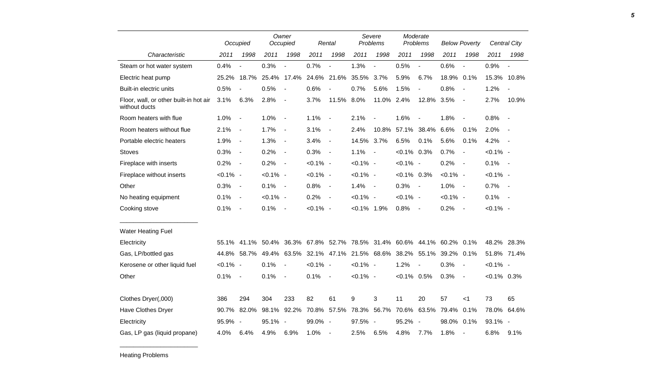|                                                         | Occupied    |                              | Owner<br>Occupied |                          | Rental      |                          | Severe<br>Problems            |                          | Moderate<br>Problems |                          | <b>Below Poverty</b> |                          | <b>Central City</b> |                          |
|---------------------------------------------------------|-------------|------------------------------|-------------------|--------------------------|-------------|--------------------------|-------------------------------|--------------------------|----------------------|--------------------------|----------------------|--------------------------|---------------------|--------------------------|
| Characteristic                                          | 2011        | 1998                         | 2011              | 1998                     | 2011        | 1998                     | 2011                          | 1998                     | 2011                 | 1998                     | 2011                 | 1998                     | 2011                | 1998                     |
| Steam or hot water system                               | 0.4%        | $\blacksquare$               | 0.3%              | $\overline{\phantom{a}}$ | 0.7%        | $\overline{\phantom{a}}$ | 1.3%                          | $\overline{a}$           | 0.5%                 | $\overline{a}$           | 0.6%                 | $\blacksquare$           | 0.9%                | $\overline{\phantom{a}}$ |
| Electric heat pump                                      | 25.2%       | 18.7%                        | 25.4%             | 17.4%                    |             | 24.6% 21.6%              | 35.5%                         | 3.7%                     | 5.9%                 | 6.7%                     | 18.9%                | 0.1%                     |                     | 15.3% 10.8%              |
| Built-in electric units                                 | 0.5%        |                              | 0.5%              | $\overline{\phantom{a}}$ | 0.6%        | $\overline{\phantom{a}}$ | 0.7%                          | 5.6%                     | 1.5%                 | $\overline{\phantom{a}}$ | 0.8%                 | $\overline{a}$           | 1.2%                |                          |
| Floor, wall, or other built-in hot air<br>without ducts | 3.1%        | 6.3%                         | 2.8%              | $\overline{\phantom{a}}$ | 3.7%        | 11.5%                    | 8.0%                          | 11.0%                    | 2.4%                 | 12.8%                    | 3.5%                 | $\overline{\phantom{a}}$ | 2.7%                | 10.9%                    |
| Room heaters with flue                                  | 1.0%        | $\blacksquare$               | 1.0%              | $\blacksquare$           | 1.1%        | $\blacksquare$           | 2.1%                          | $\overline{\phantom{a}}$ | 1.6%                 |                          | 1.8%                 | $\overline{\phantom{a}}$ | 0.8%                | $\overline{\phantom{a}}$ |
| Room heaters without flue                               | 2.1%        | $\overline{\phantom{a}}$     | 1.7%              | $\overline{\phantom{a}}$ | 3.1%        | $\overline{\phantom{a}}$ | 2.4%                          | 10.8%                    | 57.1%                | 38.4%                    | 6.6%                 | 0.1%                     | 2.0%                |                          |
| Portable electric heaters                               | 1.9%        | $\blacksquare$               | 1.3%              | $\overline{\phantom{a}}$ | 3.4%        | $\overline{\phantom{a}}$ | 14.5%                         | 3.7%                     | 6.5%                 | 0.1%                     | 5.6%                 | 0.1%                     | 4.2%                | $\overline{\phantom{a}}$ |
| <b>Stoves</b>                                           | 0.3%        | $\overline{a}$               | 0.2%              | $\blacksquare$           | 0.3%        | $\sim$                   | 1.1%                          | $\overline{\phantom{a}}$ | $< 0.1\%$ 0.3%       |                          | 0.7%                 | $\overline{\phantom{a}}$ | $< 0.1\%$ -         |                          |
| Fireplace with inserts                                  | 0.2%        | $\blacksquare$               | 0.2%              | $\overline{\phantom{a}}$ | $< 0.1\%$ - |                          | $< 0.1\%$ -                   |                          | $< 0.1\%$ -          |                          | 0.2%                 | $\overline{\phantom{a}}$ | 0.1%                | $\sim$                   |
| Fireplace without inserts                               | $< 0.1\%$ - |                              | $< 0.1\%$ -       |                          | $< 0.1\%$ - |                          | $< 0.1\%$ -                   |                          | $< 0.1\%$ 0.3%       |                          | $< 0.1\%$ -          |                          | $< 0.1\%$ -         |                          |
| Other                                                   | 0.3%        | $\blacksquare$               | 0.1%              | $\sim$                   | 0.8%        | $\sim$                   | 1.4%                          | $\sim$                   | 0.3%                 | $\sim$                   | 1.0%                 | $\overline{\phantom{a}}$ | 0.7%                | $\overline{\phantom{a}}$ |
| No heating equipment                                    | 0.1%        | $\qquad \qquad \blacksquare$ | $< 0.1\%$ -       |                          | 0.2%        | $\sim$                   | $< 0.1\%$ -                   |                          | $< 0.1\%$ -          |                          | $< 0.1\%$ -          |                          | 0.1%                | $\blacksquare$           |
| Cooking stove                                           | 0.1%        | $\blacksquare$               | 0.1%              | $\blacksquare$           | $< 0.1\%$ - |                          | $< 0.1\%$ 1.9%                |                          | 0.8%                 | $\overline{\phantom{a}}$ | 0.2%                 | $\overline{\phantom{a}}$ | $< 0.1\%$ -         |                          |
| <b>Water Heating Fuel</b>                               |             |                              |                   |                          |             |                          |                               |                          |                      |                          |                      |                          |                     |                          |
| Electricity                                             | 55.1%       | 41.1%                        | 50.4%             | 36.3%                    |             |                          | 67.8% 52.7% 78.5% 31.4% 60.6% |                          |                      |                          | 44.1% 60.2% 0.1%     |                          |                     | 48.2% 28.3%              |
| Gas, LP/bottled gas                                     | 44.8%       | 58.7%                        | 49.4%             | 63.5%                    |             | 32.1% 47.1%              | 21.5% 68.6%                   |                          | 38.2%                | 55.1%                    | 39.2%                | 0.1%                     |                     | 51.8% 71.4%              |
| Kerosene or other liquid fuel                           | $< 0.1\%$ - |                              | 0.1%              | $\blacksquare$           | $< 0.1\%$ - |                          | $< 0.1\%$ -                   |                          | 1.2%                 | $\overline{\phantom{a}}$ | 0.3%                 | $\overline{\phantom{a}}$ | $< 0.1\%$ -         |                          |
| Other                                                   | 0.1%        | $\overline{\phantom{a}}$     | 0.1%              | $\blacksquare$           | 0.1%        | $\overline{\phantom{a}}$ | $< 0.1\%$ -                   |                          | $< 0.1\%$ 0.5%       |                          | 0.3%                 | $\blacksquare$           | $< 0.1\%$ 0.3%      |                          |
|                                                         |             |                              |                   |                          |             |                          |                               |                          |                      |                          |                      |                          |                     |                          |
| Clothes Dryer(,000)                                     | 386         | 294                          | 304               | 233                      | 82          | 61                       | 9                             | 3                        | 11                   | 20                       | 57                   | $<1\,$                   | 73                  | 65                       |
| <b>Have Clothes Dryer</b>                               | 90.7%       | 82.0%                        | 98.1%             | 92.2%                    | 70.8%       | 57.5%                    | 78.3%                         | 56.7%                    | 70.6%                | 63.5%                    | 79.4%                | 0.1%                     | 78.0%               | 64.6%                    |
| Electricity                                             | 95.9% -     |                              | 95.1%             | $\sim$                   | 99.0% -     |                          | 97.5% -                       |                          | 95.2%                | $\sim$                   | 98.0%                | 0.1%                     | 93.1% -             |                          |
| Gas, LP gas (liquid propane)                            | 4.0%        | 6.4%                         | 4.9%              | 6.9%                     | 1.0%        | $\overline{\phantom{a}}$ | 2.5%                          | 6.5%                     | 4.8%                 | 7.7%                     | 1.8%                 |                          | 6.8%                | 9.1%                     |

Heating Problems

\_\_\_\_\_\_\_\_\_\_\_\_\_\_\_\_\_\_\_\_\_\_\_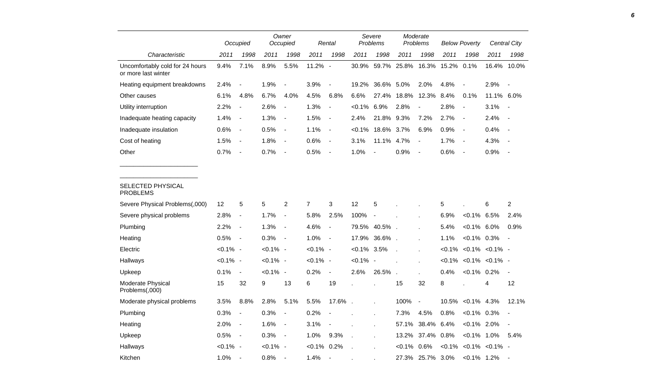|                                                        |             | Occupied                 |             | Owner<br>Occupied        |                | Rental                   |                | Severe<br>Problems |                            | Moderate<br>Problems     |           | <b>Below Poverty</b>            |            | Central City             |
|--------------------------------------------------------|-------------|--------------------------|-------------|--------------------------|----------------|--------------------------|----------------|--------------------|----------------------------|--------------------------|-----------|---------------------------------|------------|--------------------------|
| Characteristic                                         | 2011        | 1998                     | 2011        | 1998                     | 2011           | 1998                     | 2011           | 1998               | 2011                       | 1998                     | 2011      | 1998                            | 2011       | 1998                     |
| Uncomfortably cold for 24 hours<br>or more last winter | 9.4%        | 7.1%                     | 8.9%        | 5.5%                     | 11.2% -        |                          |                | 30.9% 59.7%        | 25.8%                      | 16.3%                    | 15.2%     | 0.1%                            | 16.4%      | 10.0%                    |
| Heating equipment breakdowns                           | 2.4%        | $\blacksquare$           | 1.9%        | $\overline{\phantom{a}}$ | 3.9%           | $\blacksquare$           | 19.2%          | 36.6% 5.0%         |                            | 2.0%                     | 4.8%      | $\overline{\phantom{a}}$        | 2.9%       | $\blacksquare$           |
| Other causes                                           | 6.1%        | 4.8%                     | 6.7%        | 4.0%                     | 4.5%           | 6.8%                     | 6.6%           |                    | 27.4% 18.8%                | 12.3%                    | 8.4%      | 0.1%                            | 11.1% 6.0% |                          |
| Utility interruption                                   | 2.2%        | $\blacksquare$           | 2.6%        | $\blacksquare$           | 1.3%           | $\overline{a}$           | $< 0.1\%$      | 6.9%               | 2.8%                       | $\blacksquare$           | 2.8%      | $\overline{\phantom{a}}$        | 3.1%       | $\overline{\phantom{a}}$ |
| Inadequate heating capacity                            | 1.4%        | $\blacksquare$           | 1.3%        | $\blacksquare$           | 1.5%           | $\overline{\phantom{a}}$ | 2.4%           | 21.8% 9.3%         |                            | 7.2%                     | 2.7%      | $\blacksquare$                  | 2.4%       | $\blacksquare$           |
| Inadequate insulation                                  | 0.6%        | $\blacksquare$           | 0.5%        | $\blacksquare$           | 1.1%           | $\overline{\phantom{a}}$ | $< 0.1\%$      | 18.6% 3.7%         |                            | 6.9%                     | 0.9%      | $\overline{\phantom{a}}$        | 0.4%       | $\overline{a}$           |
| Cost of heating                                        | 1.5%        | $\overline{\phantom{a}}$ | 1.8%        | $\overline{\phantom{a}}$ | 0.6%           | $\overline{\phantom{a}}$ | 3.1%           | 11.1% 4.7%         |                            | $\blacksquare$           | 1.7%      | $\overline{\phantom{a}}$        | 4.3%       | $\overline{\phantom{a}}$ |
| Other                                                  | 0.7%        | $\overline{\phantom{a}}$ | 0.7%        | $\overline{\phantom{a}}$ | 0.5%           | $\overline{\phantom{a}}$ | 1.0%           | $\sim$             | 0.9%                       | $\blacksquare$           | 0.6%      | $\overline{\phantom{a}}$        | 0.9%       | $\blacksquare$           |
|                                                        |             |                          |             |                          |                |                          |                |                    |                            |                          |           |                                 |            |                          |
| SELECTED PHYSICAL<br><b>PROBLEMS</b>                   |             |                          |             |                          |                |                          |                |                    |                            |                          |           |                                 |            |                          |
| Severe Physical Problems(,000)                         | 12          | 5                        | 5           | $\overline{2}$           | $\overline{7}$ | 3                        | 12             | 5                  |                            |                          | 5         |                                 | 6          | $\overline{2}$           |
| Severe physical problems                               | 2.8%        | $\blacksquare$           | 1.7%        | $\blacksquare$           | 5.8%           | 2.5%                     | 100%           | $\overline{a}$     |                            |                          | 6.9%      | $< 0.1\%$                       | 6.5%       | 2.4%                     |
| Plumbing                                               | 2.2%        | $\blacksquare$           | 1.3%        | $\blacksquare$           | 4.6%           | $\blacksquare$           |                | 79.5% 40.5%        | $\mathbf{r}$               |                          | 5.4%      | $< 0.1\%$                       | 6.0%       | 0.9%                     |
| Heating                                                | 0.5%        | $\sim$ $-$               | 0.3%        | $\blacksquare$           | 1.0%           | $\blacksquare$           |                | 17.9% 36.6%.       |                            |                          | 1.1%      | $< 0.1\%$                       | 0.3%       | $\blacksquare$           |
| Electric                                               | $< 0.1\%$ - |                          | $< 0.1\%$ - |                          | $< 0.1\%$ -    |                          | $< 0.1\%$ 3.5% |                    | $\overline{a}$             |                          | $< 0.1\%$ | $< 0.1\%$                       | <0.1% -    |                          |
| Hallways                                               | $< 0.1\%$ - |                          | $< 0.1\%$ - |                          | $< 0.1\%$ -    |                          | $< 0.1\%$ -    |                    |                            |                          |           | $< 0.1\%$ < $0.1\%$ < $0.1\%$ - |            |                          |
| Upkeep                                                 | 0.1%        | $\blacksquare$           | $< 0.1\%$ - |                          | 0.2%           | $\blacksquare$           | 2.6%           | 26.5%              | $\mathcal{L}_{\mathbf{z}}$ |                          | 0.4%      | $< 0.1\%$ 0.2%                  |            | $\blacksquare$           |
| Moderate Physical<br>Problems(,000)                    | 15          | 32                       | 9           | 13                       | 6              | 19                       |                |                    | 15                         | 32                       | 8         |                                 | 4          | 12                       |
| Moderate physical problems                             | 3.5%        | 8.8%                     | 2.8%        | 5.1%                     | 5.5%           | 17.6%.                   |                |                    | 100%                       | $\overline{\phantom{a}}$ | 10.5%     | $< 0.1\%$                       | 4.3%       | 12.1%                    |
| Plumbing                                               | 0.3%        | $\overline{\phantom{a}}$ | 0.3%        | $\blacksquare$           | 0.2%           |                          |                | $\mathbf{r}$       | 7.3%                       | 4.5%                     | 0.8%      | $< 0.1\%$                       | 0.3%       | $\overline{\phantom{a}}$ |
| Heating                                                | 2.0%        | $\overline{\phantom{a}}$ | 1.6%        | $\blacksquare$           | 3.1%           | $\blacksquare$           |                | $\mathbf{r}$       | 57.1%                      | 38.4%                    | 6.4%      | $< 0.1\%$                       | 2.0%       | $\blacksquare$           |
| Upkeep                                                 | 0.5%        | $\sim$                   | 0.3%        | $\blacksquare$           | 1.0%           | 9.3%                     | $\overline{a}$ |                    | 13.2%                      | 37.4%                    | 0.8%      | $< 0.1\%$                       | 1.0%       | 5.4%                     |
| Hallways                                               | $< 0.1\%$ - |                          | $< 0.1\%$ - |                          | $<0.1\%$       | 0.2%                     |                |                    | $< 0.1\%$                  | 0.6%                     |           | $< 0.1\%$ $< 0.1\%$ $< 0.1\%$ - |            |                          |
| Kitchen                                                | 1.0%        | $\sim$                   | 0.8%        |                          | 1.4%           | $\sim$                   |                |                    |                            | 27.3% 25.7% 3.0%         |           | $< 0.1\%$ 1.2%                  |            |                          |